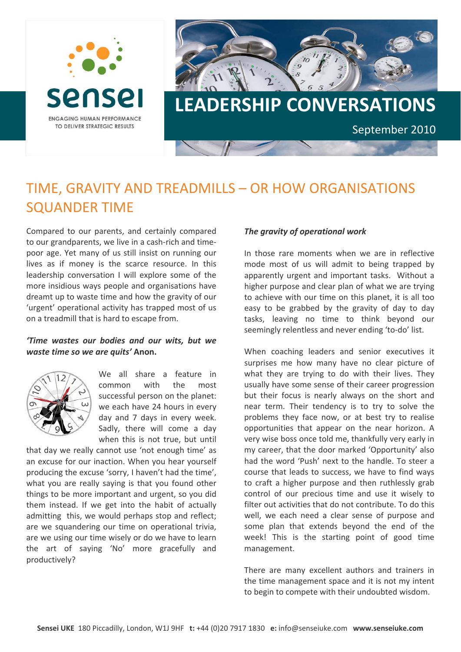



# TIME, GRAVITY AND TREADMILLS – OR HOW ORGANISATIONS SQUANDER TIME

Compared to our parents, and certainly compared *The gravity of operational work* to our grandparents, we live in a cash‐rich and time‐ poor age. Yet many of us still insist on running our lives as if money is the scarce resource. In this leadership conversation I will explore some of the more insidious ways people and organisations have dreamt up to waste time and how the gravity of our 'urgent' operational activity has trapped most of us on a treadmill that is hard to escape from.

# *'Time wastes our bodies and our wits, but we waste time so we are quits'* **Anon.** When coaching leaders and senior executives it



We all share a feature in common with the most successful person on the planet: we each have 24 hours in every day and 7 days in every week. Sadly, there will come a day when this is not true, but until

that day we really cannot use 'not enough time' as an excuse for our inaction. When you hear yourself producing the excuse 'sorry, I haven't had the time', what you are really saying is that you found other things to be more important and urgent, so you did them instead. If we get into the habit of actually admitting this, we would perhaps stop and reflect; are we squandering our time on operational trivia, are we using our time wisely or do we have to learn the art of saying 'No' more gracefully and productively?

In those rare moments when we are in reflective mode most of us will admit to being trapped by apparently urgent and important tasks. Without a higher purpose and clear plan of what we are trying to achieve with our time on this planet, it is all too easy to be grabbed by the gravity of day to day tasks, leaving no time to think beyond our seemingly relentless and never ending 'to-do' list.

September 2010

surprises me how many have no clear picture of what they are trying to do with their lives. They usually have some sense of their career progression but their focus is nearly always on the short and near term. Their tendency is to try to solve the problems they face now, or at best try to realise opportunities that appear on the near horizon. A very wise boss once told me, thankfully very early in my career, that the door marked 'Opportunity' also had the word 'Push' next to the handle. To steer a course that leads to success, we have to find ways to craft a higher purpose and then ruthlessly grab control of our precious time and use it wisely to filter out activities that do not contribute. To do this well, we each need a clear sense of purpose and some plan that extends beyond the end of the week! This is the starting point of good time management.

There are many excellent authors and trainers in the time management space and it is not my intent to begin to compete with their undoubted wisdom.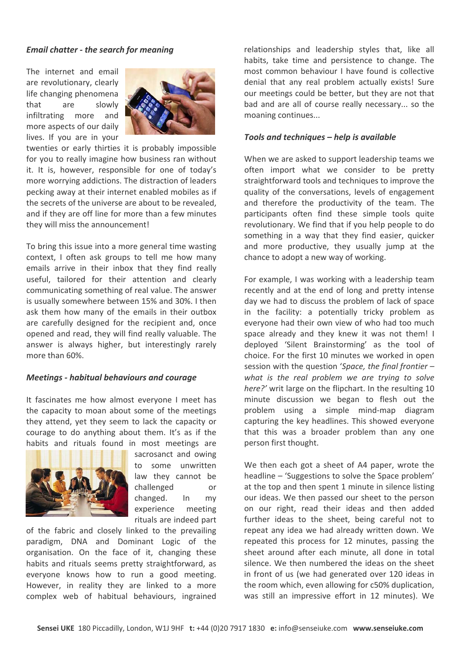## *Email chatter ‐ the search for meaning*

The internet and email are revolutionary, clearly life changing phenomena that are slowly infiltrating more and more aspects of our daily lives. If you are in your



twenties or early thirties it is probably impossible for you to really imagine how business ran without it. It is, however, responsible for one of today's more worrying addictions. The distraction of leaders pecking away at their internet enabled mobiles as if the secrets of the universe are about to be revealed, and if they are off line for more than a few minutes they will miss the announcement!

To bring this issue into a more general time wasting context, I often ask groups to tell me how many emails arrive in their inbox that they find really useful, tailored for their attention and clearly communicating something of real value. The answer is usually somewhere between 15% and 30%. I then ask them how many of the emails in their outbox are carefully designed for the recipient and, once opened and read, they will find really valuable. The answer is always higher, but interestingly rarely more than 60%.

#### *Meetings ‐ habitual behaviours and courage*

It fascinates me how almost everyone I meet has the capacity to moan about some of the meetings they attend, yet they seem to lack the capacity or courage to do anything about them. It's as if the habits and rituals found in most meetings are



law they cannot be changed. In my rituals are indeed part sacrosanct and owing to some unwritten challenged or experience meeting

However, in reality they are linked to a more of the fabric and closely linked to the prevailing paradigm, DNA and Dominant Logic of the organisation. On the face of it, changing these habits and rituals seems pretty straightforward, as everyone knows how to run a good meeting. complex web of habitual behaviours, ingrained bad and are all of course really necessary... so the moaning continues... relationships and leadership styles that, like all habits, take time and persistence to change. The most common behaviour I have found is collective denial that any real problem actually exists! Sure our meetings could be better, but they are not that

## *ools and techniques – help is available T*

When we are asked to support leadership teams we and more productive, they usually jump at the chance to adopt a new way of working. often import what we consider to be pretty straightforward tools and techniques to improve the quality of the conversations, levels of engagement and therefore the productivity of the team. The participants often find these simple tools quite revolutionary. We find that if you help people to do something in a way that they find easier, quicker

here?' writ large on the flipchart. In the resulting 10 minute discussion we began to flesh out the that this was a broader problem than any one person first thought. For example, I was working with a leadership team recently and at the end of long and pretty intense day we had to discuss the problem of lack of space in the facility: a potentially tricky problem as everyone had their own view of who had too much space already and they knew it was not them! I deployed 'Silent Brainstorming' as the tool of choice. For the first 10 minutes we worked in open session with the question '*Space, the final frontier – what is the real problem we are trying to solve* problem using a simple mind‐map diagram capturing the key headlines. This showed everyone

We then each got a sheet of A4 paper, wrote the headline – 'Suggestions to solve the Space problem' at the top and then spent 1 minute in silence listing our ideas. We then passed our sheet to the person on our right, read their ideas and then added further ideas to the sheet, being careful not to repeat any idea we had already written down. We repeated this process for 12 minutes, passing the sheet around after each minute, all done in total silence. We then numbered the ideas on the sheet in front of us (we had generated over 120 ideas in the room which, even allowing for c50% duplication, was still an impressive effort in 12 minutes). We